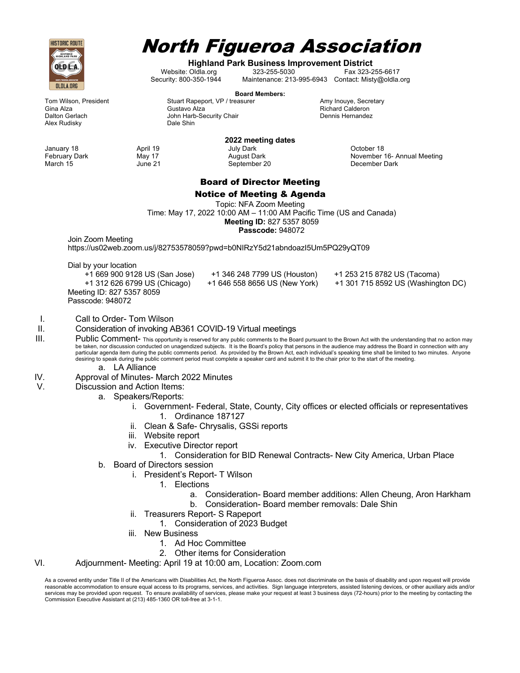

# North Figueroa Association

**Highland Park Business Improvement District**

Website: Oldla.org 323-255-5030 Fax 323-255-6617<br>Security: 800-350-1944 Maintenance: 213-995-6943 Contact: Misty@oldla. Maintenance: 213-995-6943 Contact: Misty@oldla.org

**Board Members:**

Tom Wilson, President **Stuart Rapeport, VP / treasurer** Amy Inouye, Secretary **Amy Inouge, Secretary** Secretary<br>Gustavo Alza **Amy Indiana amb Richard Calderon** Gina Alza Gustavo Alza Richard Calderon

March 15 **June 21** September 20 **December Dark** 

Dalton Gerlach **Dalton Chair Security Chair** Dennis Hernandez<br>
Alex Rudisky **Dalton Dale Shin** Dale Shin **Alex Rudisky** 

#### **2022 meeting dates** January 18 **April 19** April 19 **April 19** July Dark **Colombia April 19** April 19 July Dark **Colombia April 19** April 19 February Dark May 17 **May 17** August Dark Movember 16- Annual Meeting

## Board of Director Meeting

Notice of Meeting & Agenda

Topic: NFA Zoom Meeting Time: May 17, 2022 10:00 AM – 11:00 AM Pacific Time (US and Canada) **Meeting ID:** 827 5357 8059 **Passcode:** 948072

Join Zoom Meeting

https://us02web.zoom.us/j/82753578059?pwd=b0NIRzY5d21abndoazI5Um5PQ29yQT09

Dial by your location

 +1 669 900 9128 US (San Jose) +1 346 248 7799 US (Houston) +1 253 215 8782 US (Tacoma) Meeting ID: 827 5357 8059 Passcode: 948072

- +1 312 626 6799 US (Chicago) +1 646 558 8656 US (New York) +1 301 715 8592 US (Washington DC)
- I. Call to Order- Tom Wilson

### II. Consideration of invoking AB361 COVID-19 Virtual meetings

III. Public Comment- This opportunity is reserved for any public comments to the Board pursuant to the Brown Act with the understanding that no action may be taken, nor discussion conducted on unagendized subjects. It is the Board's policy that persons in the audience may address the Board in connection with any<br>particular agenda item during the public comments period. As pr desiring to speak during the public comment period must complete a speaker card and submit it to the chair prior to the start of the meeting.

- a. LA Alliance
- IV. Approval of Minutes- March 2022 Minutes
- V. Discussion and Action Items:
	- a. Speakers/Reports:
		- i. Government- Federal, State, County, City offices or elected officials or representatives 1. Ordinance 187127
		- ii. Clean & Safe- Chrysalis, GSSi reports
		- iii. Website report
		- iv. Executive Director report
			- 1. Consideration for BID Renewal Contracts- New City America, Urban Place
	- b. Board of Directors session
		- i. President's Report- T Wilson
			- 1. Elections
				- a. Consideration- Board member additions: Allen Cheung, Aron Harkham
				- b. Consideration- Board member removals: Dale Shin
		- ii. Treasurers Report- S Rapeport
			- 1. Consideration of 2023 Budget
		- iii. New Business
			- 1. Ad Hoc Committee
			- 2. Other items for Consideration

### VI. Adjournment- Meeting: April 19 at 10:00 am, Location: Zoom.com

As a covered entity under Title II of the Americans with Disabilities Act, the North Figueroa Assoc. does not discriminate on the basis of disability and upon request will provide reasonable accommodation to ensure equal access to its programs, services, and activities. Sign language interpreters, assisted listening devices, or other auxiliary aids and/or services may be provided upon request. To ensure availability of services, please make your request at least 3 business days (72-hours) prior to the meeting by contacting the Commission Executive Assistant at (213) 485-1360 OR toll-free at 3-1-1.